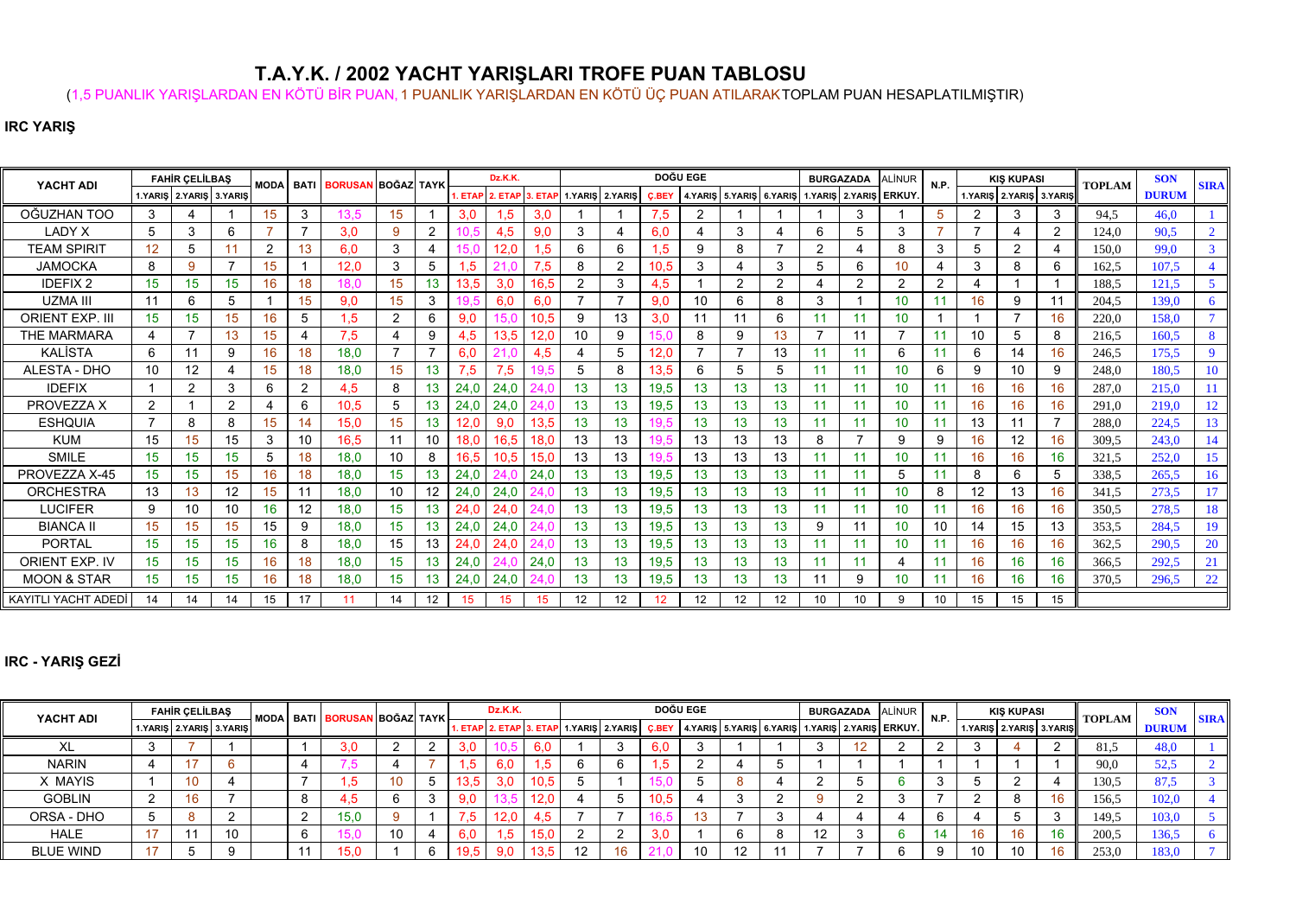## **T.A.Y.K. / 2002 YACHT YARIŞLARI TROFE PUAN TABLOSU**

(1,5 PUANLIK YARIŞLARDAN EN KÖTÜ BİR PUAN, 1 PUANLIK YARIŞLARDAN EN KÖTÜ ÜÇ PUAN ATILARAKTOPLAM PUAN HESAPLATILMIŞTIR)

## **IRC YARIŞ**

| YACHT ADI              |                 | <b>FAHIR CELILBAS</b>   |                  | <b>MODA</b>    | <b>BATI</b>             | <b>BORUSAN BOĞAZ TAYK</b> |                  |                 |      | Dz.K.K.                 |      |                |                 |              | <b>DOĞU EGE</b> |                 |                |    | <b>BURGAZADA</b>                              | ALİNUR | N.P.           |                | <b>KIS KUPASI</b>       |                | <b>TOPLAM</b> | <b>SON</b>   | <b>SIRA</b> |
|------------------------|-----------------|-------------------------|------------------|----------------|-------------------------|---------------------------|------------------|-----------------|------|-------------------------|------|----------------|-----------------|--------------|-----------------|-----------------|----------------|----|-----------------------------------------------|--------|----------------|----------------|-------------------------|----------------|---------------|--------------|-------------|
|                        |                 | 1.YARIŞ 2.YARIŞ 3.YARIŞ |                  |                |                         |                           |                  |                 |      | 1. ETAP 2. ETAP 3. ETAP |      |                | 1.YARIŞ 2.YARIŞ | <b>C.BEY</b> |                 |                 |                |    | 4.YARIS 5.YARIS 6.YARIS 1.YARIS 2.YARIS ERKUY |        |                |                | 1.YARIS 2.YARIS 3.YARIS |                |               | <b>DURUM</b> |             |
| OĞUZHAN TOO            | 3               |                         |                  | 15             | 3                       | 13.5                      | 15               |                 | 3,0  | 1,5                     | 3,0  |                |                 | 7,5          | $\overline{2}$  |                 |                |    | 3                                             |        | 5              | $\overline{2}$ | 3                       | 3              | 94,5          | 46,0         |             |
| <b>LADY X</b>          | 5               | 3                       | 6                |                | 7                       | 3,0                       | 9                | 2               |      | 4,5                     | 9.0  | 3              | 4               | 6.0          | 4               | 3               |                | 6  | 5                                             | 3      |                | $\overline{ }$ |                         | $\overline{2}$ | 124,0         | 90,5         |             |
| <b>TEAM SPIRIT</b>     | 12 <sup>°</sup> | 5                       |                  | $\overline{2}$ | 13                      | 6,0                       | 3                |                 |      | 12.0                    | .5   | 6              | 6               | .5           | 9               |                 |                |    |                                               | 8      | 3              | 5              | 2                       | $\overline{4}$ | 150,0         | 99,0         |             |
| <b>JAMOCKA</b>         | 8               | 9                       |                  | 15             |                         | 12,0                      | 3                | 5               | 1,5  |                         | 7,5  | 8              | $\overline{2}$  | 10.5         | 3               |                 | 3              | 5  | 6                                             | 10     |                | 3              | 8                       | 6              | 162,5         | 107.5        |             |
| <b>IDEFIX2</b>         | 15              | 15                      | 15               | 16             | 18                      | 18.0                      | 15               | 13.             | 13,5 | 3,0                     | 16.5 | $\overline{2}$ | 3               | 4,5          |                 |                 | $\overline{2}$ |    | $\overline{2}$                                | c      | $\overline{2}$ | 4              |                         |                | 188.5         | 121,5        |             |
| <b>UZMA III</b>        | 11              | 6                       |                  |                | 15                      | 9,0                       | 15               | 3               |      | 6,0                     | 6,0  | $\overline{ }$ |                 | 9,0          | 10              |                 | 8              | 3  |                                               |        |                | 16             | 9                       | 11             | 204.5         | 139,0        |             |
| <b>ORIENT EXP. II</b>  | 15              | 15                      | 15 <sup>15</sup> | 16             | 5                       | .5                        | $\overline{2}$   | 6               | 9,0  |                         | 10.5 | 9              | 13              | 3.0          | 11              |                 | 6              |    | 11                                            | 10     |                |                |                         | 16             | 220,0         | 158,0        |             |
| <b>THE MARMARA</b>     |                 | 7                       | 13               | 15             | $\overline{\mathbf{4}}$ | 7,5                       |                  | 9               | 4,5  | 13.5                    | 12.0 | 10             | 9               |              | 8               | 9               | 13             |    | 11                                            |        | 11             | 10             | 5                       | 8              | 216.5         | 160,5        |             |
| <b>KALISTA</b>         | 6               | 11                      | 9                | 16             | 18                      | 18,0                      |                  |                 | 6,0  |                         | 4,5  | 4              | 5               | 12,0         |                 |                 | 13             | 11 | 11                                            | 6      | 11             | 6              | 14                      | 16             | 246.5         | 175,5        |             |
| ALESTA - DHO           | 10              | 12                      |                  | 15             | 18                      | 18,0                      | 15               | 13 <sub>1</sub> | 7,5  | 7,5                     |      | 5              | 8               | 13,5         | 6               |                 | 5              | 11 | 11                                            | 10     | 6              | 9              | 10                      | 9              | 248,0         | 180.5        | 10          |
| <b>IDEFIX</b>          |                 | $\overline{2}$          | 3                | 6              | $\overline{2}$          | 4,5                       | 8                | 13.             | 24,0 | 24,0                    |      | 13             | 13              | 19,5         | 13              | 13              | 13             | 11 | 11                                            | 10     | 11             | 16             | 16                      | 16             | 287.0         | 215,0        | <b>11</b>   |
| PROVEZZA X             | $\overline{2}$  |                         | $\overline{2}$   | 4              | 6                       | 10.5                      | 5                | 13.             | 24,0 | 24,0                    |      | 13             | 13              | 19,5         | 13              | 13 <sup>°</sup> | 13             | 11 | 11                                            | 10     | 11             | 16             | 16                      | 16             | 291.0         | 219.0        | 12          |
| <b>ESHQUIA</b>         |                 | 8                       | 8                | 15             | 14                      | 15.0                      | 15               | 13 <sup>°</sup> | 12,0 | 9,0                     | 13.5 | 13             | 13              |              | 13              | 13.             | 13             |    |                                               | 10     | 11             | 13             |                         |                | 288.0         | 224.5        | 13          |
| <b>KUM</b>             | 15              | 15                      | 15               | 3              | 10                      | 16.5                      | 11               | 10              | 18,0 | 16.5                    | 18.0 | 13             | 13              |              | 13              | 13              | 13             | 8  |                                               | 9      | 9              | 16             | 12                      | 16             | 309.5         | 243.0        | 14          |
| <b>SMILE</b>           | 15              | 15                      | 15               | 5              | 18                      | 18,0                      | 10               | 8               | 16,5 | 10.5                    | 15.0 | 13             | 13              |              | 13              | 13              | 13             |    |                                               | 10     | 11             | 16             | 16                      | 16             | 321.5         | 252,0        | 15          |
| PROVEZZA X-45          | 15              | 15                      | 15               | 16             | 18                      | 18,0                      | 15 <sup>15</sup> | 13.             | 24,0 |                         | 24,0 | 13             | 13              | 19,5         | 13              | 13 <sup>°</sup> | 13             |    | 11                                            | 5      | 11             | 8              | 6                       | 5              | 338.5         | 265,5        | 16          |
| <b>ORCHESTRA</b>       | 13              | 13                      | 12               | 15             | 11                      | 18,0                      | 10               | 12              | 24,0 | 24,0                    |      | 13             |                 | 19,5         | 13              | 13              | 13             |    |                                               | 10     | 8              | 12             | 13                      | 16             | 341.5         | 273,5        |             |
| <b>LUCIFER</b>         | 9               | 10                      | 10               | 16             | 12                      | 18,0                      | 15 <sub>15</sub> | 13.             | 24.0 | 24.0                    |      | 13             | 13              | 19,5         | 13              | 13              | 13             |    | 11                                            | 10     | 11             | 16             | 16                      | 16             | 350.5         | 278,5        | 18          |
| <b>BIANCA II</b>       | 15              | 15                      | 15               | 15             | 9                       | 18,0                      | 15               | 13.             | 24,0 | 24.0                    |      | 13             | 13              | 19,5         | 13              | 13              | 13             | 9  | 11                                            | 10     | 10             | 14             | 15                      | 13             | 353,5         | 284.5        | 19          |
| <b>PORTAL</b>          | 15              | 15                      | 15               | 16             | 8                       | 18,0                      | 15               | 13              | 24,0 | 24.0                    |      | 13             | 13              | 19,5         | 13              | 13              | 13             |    | 11                                            | 10     | 11             | 16             | 16                      | 16             | 362,5         | 290.5        | 20          |
| <b>ORIENT EXP. IV</b>  | 15              | 15                      | 15               | 16             | 18                      | 18,0                      | 15               | 13.             | 24,0 |                         | 24.0 | 13             | 13              | 19,5         | 13              | 13              | 13             | 11 | 11                                            |        | 11             | 16             | 16 <sup>°</sup>         | 16             | 366.5         | 292,5        | 21          |
| <b>MOON &amp; STAR</b> | 15              | 15                      | 15 <sub>1</sub>  | 16             | 18                      | 18,0                      | 15               | 13              | 24,0 | 24,0                    |      | 13             | 13              | 19,5         | 13              | 13 <sup>°</sup> | 13             | 11 | 9                                             | 10     | 11             | 16             | 16 <sup>°</sup>         | 16             | 370,5         | 296,5        | 22          |
| KAYITLI YACHT ADEDİ    | 14              | 14                      | 14               | 15             | 17                      | 11                        | 14               | 12              | 15   | 15                      | 15   | 12             | 12              | 12           | 12              | 12 <sup>2</sup> | 12             | 10 | 10                                            | 9      | 10             | 15             | 15 <sup>15</sup>        | 15             |               |              |             |

## **IRC - YARIŞ GEZİ**

| YACHT ADI        | <b>FAHIR CELILBAS</b> |                         |    | MODA BATI BORUSAN BOĞAZ TAYK |      |     | Dz.K.K. |      |                 |                                           | DOĞU EGE       |    |                         | <b>BURGAZADA ALINUR</b> | <b>N.P.</b>            |  | KIS KUPASI | <b>TOPLAM</b>           | <b>SON</b> | <b>SIRA</b>  |  |
|------------------|-----------------------|-------------------------|----|------------------------------|------|-----|---------|------|-----------------|-------------------------------------------|----------------|----|-------------------------|-------------------------|------------------------|--|------------|-------------------------|------------|--------------|--|
|                  |                       | 1.YARIS 2.YARIS 3.YARIS |    |                              |      |     |         |      |                 | 1. ETAP 2. ETAP 3. ETAP 1. YARIS 2. YARIS | C.BEY          |    | 4.YARIS 5.YARIS 6.YARIS |                         | 1.YARIŞ 2.YARIŞ ERKUY. |  |            | 1.YARIS 2.YARIS 3.YARIS |            | <b>DURUM</b> |  |
| ᄮ                |                       |                         |    |                              | 3.0  |     | 3,0     |      | 6. <sub>C</sub> |                                           |                |    |                         |                         |                        |  |            |                         | 81.5       | 48,0         |  |
| <b>NARIN</b>     |                       |                         |    |                              |      |     | . ל     | 6.0  |                 |                                           |                |    |                         |                         |                        |  |            |                         | 90.0       | 52.5         |  |
| X MAYIS          |                       | ιv                      |    |                              | .၁   | 10. | 13,5    | 3,0  | 10,5            |                                           |                |    |                         |                         |                        |  |            |                         | 130.5      | 87.5         |  |
| <b>GOBLIN</b>    |                       |                         |    |                              | ŀ.5  |     | 9,0     |      | 12 <sub>1</sub> |                                           | 10,5           |    |                         |                         |                        |  |            |                         | 156.5      | 102,0        |  |
| ORSA - DHO       |                       |                         |    |                              | 15,0 |     | 7.5     | 12,0 |                 |                                           |                |    |                         |                         |                        |  |            |                         | 149.1      | 103,0        |  |
| <b>HALE</b>      |                       |                         | 10 | 6                            |      | 10  | 6,0     |      | 15.             |                                           | 3 <sub>c</sub> |    |                         | $\overline{ }$          |                        |  |            |                         |            | 136,5        |  |
| <b>BLUE WIND</b> |                       |                         |    |                              | 15,0 |     | 19,5    | 9,0  | 13,5            | 16                                        |                | 10 | $12 \,$                 |                         |                        |  | 10         |                         | 253,0      | 183.0        |  |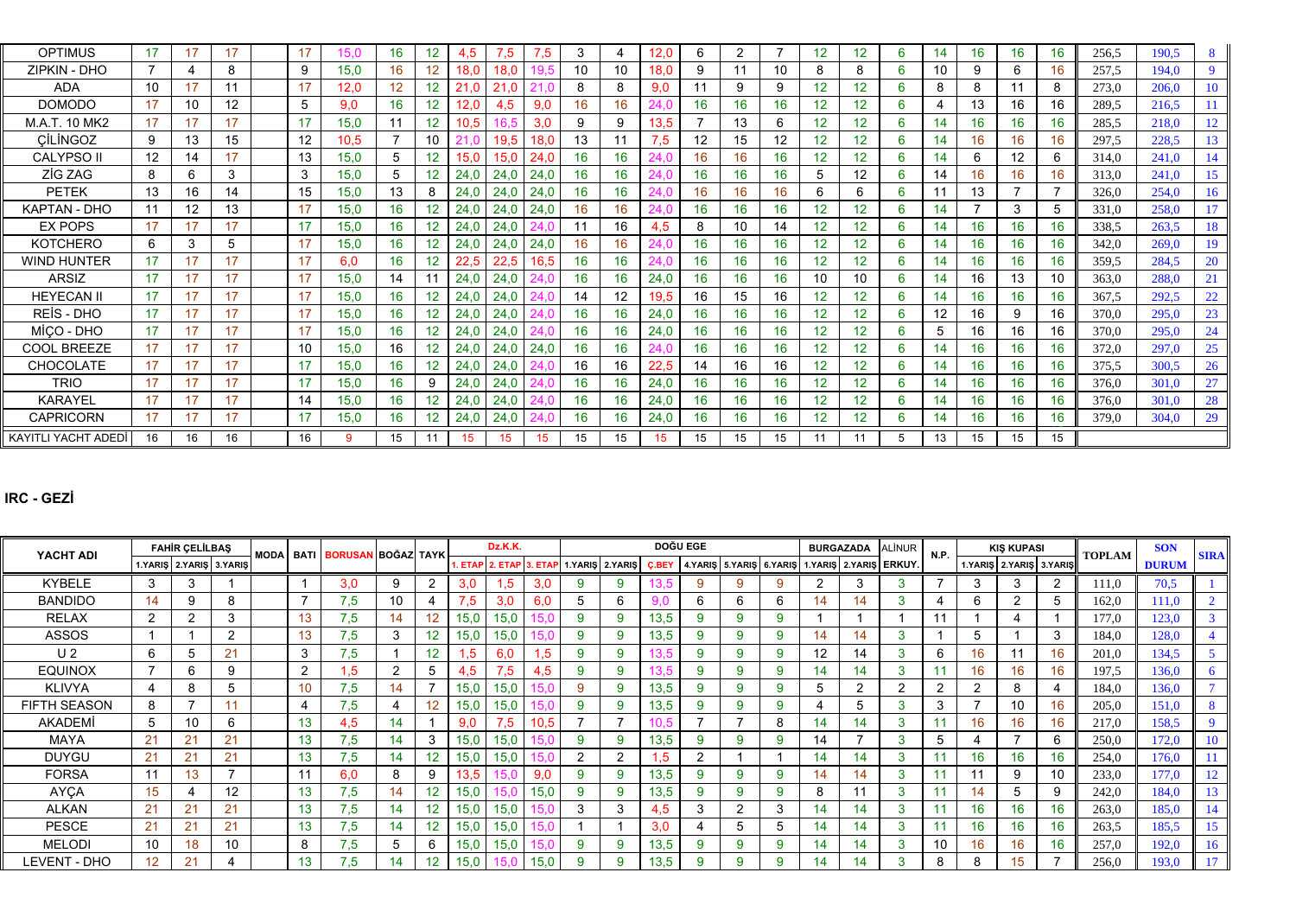| <b>OPTIMUS</b>             | 17 | 17 |    | 17                | 15.C | 16 | 12 | 4.5      | 5.'  | .5   | 3  |    | 12.0            | 6  | 2               |                 |    | 12              | 6 | 14 | 16 | 16 | 16 | 256.5 | 190.5 | 8         |
|----------------------------|----|----|----|-------------------|------|----|----|----------|------|------|----|----|-----------------|----|-----------------|-----------------|----|-----------------|---|----|----|----|----|-------|-------|-----------|
| ZIPKIN - DHO               |    |    |    | 9                 | 15,0 |    |    | 18.0     | 18,0 |      | 10 | 10 | 18,0            | 9  |                 | 10              | 8  | 8               | 6 | 10 | 9  | 6  | 16 | 257,5 | 194.0 | 9         |
| <b>ADA</b>                 | 10 | 17 |    | 17                | 12.0 |    | 12 | 21<br>.C | 21   |      | 8  | 8  | 9.0             | 11 | 9               | 9               | 12 | 12 <sub>2</sub> | 6 | 8  | 8  |    | 8  | 273,0 | 206,0 | 10        |
| <b>DOMODO</b>              | 17 | 10 | 12 | 5                 | 9.0  |    |    | 2.0      | 4,5  | 9,0  | 16 | 16 |                 | 16 | 16              | 16              |    | 12              | 6 |    | 13 | 16 | 16 | 289.5 | 216.5 |           |
| M.A.T. 10 MK2              | 17 | 17 | 17 | 17                | 15,0 | 11 | 12 | 10.5     |      | 3.0  | 9  | 9  | 13.5            |    | 13              | 6               | 12 | 12 <sup>2</sup> | 6 | 14 | 16 | 16 | 16 | 285,5 | 218,0 | 12        |
| CİLİNGOZ                   | 9  | 13 | 15 | $12 \overline{ }$ | 10,5 |    | 10 |          | 19,5 | 18.0 | 13 | 11 | .5              | 12 | 15              | 12              | 12 | 12 <sup>2</sup> | 6 | 14 | 16 | 16 | 16 | 297.5 | 228,5 | 13        |
| <b>CALYPSO II</b>          | 12 | 14 |    | 13                | 15,0 | 5  | 12 | 15.0     | 15,0 | 24.0 | 16 | 16 |                 | 16 |                 | 16 <sup>°</sup> |    | 12 <sup>2</sup> | 6 | 14 | 6  | 12 | 6  | 314.0 | 241,0 | 14        |
| <b>ZİG ZAG</b>             | 8  | 6  | 3  | 3                 | 15,0 | 5  | 12 | 24,0     | 24,0 | 24,0 | 16 | 16 |                 | 16 | 16              | 16              | 5  | 12              | 6 | 14 | 16 | 16 | 16 | 313,0 | 241,0 | 15        |
| <b>PETEK</b>               | 13 | 16 | 14 | 15                | 15,0 | 13 |    | 24,0     | 24,0 | 24,0 | 16 | 16 |                 | 16 | 16              | 16              | 6  | 6               | 6 |    | 13 |    |    | 326,0 | 254,0 | 16        |
| KAPTAN - DHO               | 11 | 12 | 13 | 17                | 15,0 | 16 | 12 | 24,0     | 24,0 | 24,0 | 16 | 16 |                 | 16 | 16              | 16              | 12 | 12 <sup>2</sup> | 6 | 14 |    | 3  | 5  | 331,0 | 258,0 | 17        |
| <b>EX POPS</b>             | 17 | 17 | 17 | 17                | 15,0 | 16 |    | 24,0     | 24.0 |      |    | 16 |                 | 8  | 10              | 14              | 12 | 12 <sup>2</sup> | 6 | 14 | 16 | 16 | 16 | 338.5 | 263,5 | 18        |
| <b>KOTCHERO</b>            | 6  | 3  |    | 17                | 15,0 |    |    | 24.0     | 24,0 | 24.0 | 16 | 16 |                 | 16 | 16              | 16              | 12 | 12 <sup>2</sup> | 6 | 14 | 16 | 16 | 16 | 342,0 | 269,0 | 19        |
| <b>WIND HUNTER</b>         | 17 | 17 | 17 | 17                | 6.0  | 16 | 12 | 22.5     | 22,5 | 16,5 | 16 | 16 |                 | 16 | 16              | 16              | 12 | 12 <sup>2</sup> | 6 | 14 | 16 | 16 | 16 | 359.5 | 284,5 | <b>20</b> |
| <b>ARSIZ</b>               | 17 | 17 |    | 17                | 15,0 | 14 |    | 24,0     | 24,0 |      | 16 | 16 | 24,0            | 16 | 16              | 16              |    | 10              | 6 | 14 | 16 | 13 | 10 | 363,0 | 288,0 | 21        |
| <b>HEYECAN II</b>          | 17 | 17 |    | 17                | 15,0 | 16 | 12 | 24,0     | 24,0 |      | 14 | 12 | 19,5            | 16 | 15              | 16              |    | 12 <sup>2</sup> | 6 | 14 | 16 | 16 | 16 | 367,5 | 292,5 | 22        |
| REIS - DHO                 | 17 | 17 | 17 | 17                | 15,0 | 16 | 12 | 24,0     | 24,0 |      | 16 | 16 | 24,0            | 16 | 16              | 16              | 12 | 12 <sup>2</sup> | 6 | 12 | 16 | 9  | 16 | 370,0 | 295,0 | 23        |
| MICO - DHO                 | 17 | 17 | 17 | 17                | 15.0 | 16 |    | 24.0     | 24.0 |      | 16 | 16 | 24.0            | 16 | 16 <sup>°</sup> | 16              | 12 | 12 <sup>2</sup> | 6 | 5  | 16 | 16 | 16 | 370.0 | 295,0 | 24        |
| COOL BREEZE                | 17 | 17 | 17 | 10                | 15,0 | 16 | 12 | 24.0     | 24,0 | 24,0 | 16 | 16 |                 | 16 | 16              | 16              | 12 | 12              | 6 | 14 | 16 | 16 | 16 | 372,0 | 297,0 | 25        |
| CHOCOLATE                  | 17 | 17 |    | 17                | 15,0 |    | 12 | 24,0     | 24,0 |      | 16 | 16 | 22.5            | 14 | 16              | 16              | 12 | 12 <sup>2</sup> | 6 | 14 | 16 | 16 | 16 | 375.5 | 300,5 | 26        |
| <b>TRIO</b>                | 17 | 17 |    | 17                | 15.0 |    | 9  | 24,0     | 24,0 |      | 16 | 16 | 24,0            | 16 | 16              | 16              |    | 12 <sup>2</sup> | 6 | 14 | 16 | 16 | 16 | 376.0 | 301,0 | 27        |
| <b>KARAYEL</b>             | 17 | 17 |    | 14                | 15,0 |    |    | 24,0     | 24,0 |      | 16 | 16 | 24,0            | 16 | 16              | 16              |    | 12 <sup>2</sup> | 6 | 14 | 16 | 16 | 16 | 376,0 | 301,0 | 28        |
| <b>CAPRICORN</b>           | 17 | 17 |    | 17                | 15.0 |    |    | 24.0     | 24,0 |      | 16 | 16 | 24.0            | 16 | 16 <sup>°</sup> | 16              |    | 12 <sup>2</sup> | 6 | 14 | 16 | 16 | 16 | 379,0 | 304,0 | 29        |
| <b>KAYITLI YACHT ADEDI</b> | 16 | 16 | 16 | 16                | 9    | 15 | 11 | 15       | 15   | 15   | 15 | 15 | 15 <sup>2</sup> | 15 | 15              | 15              |    | 11              | 5 | 13 | 15 | 15 | 15 |       |       |           |

## **IRC - GEZİ**

| YACHT ADI           | <b>FAHIR CELILBAS</b><br>1.YARIŞ 2.YARIŞ 3.YARIŞ |                |                | MODA BATI BORUSAN BOĞAZ TAYK |                 |        |    | Dz.K.K.       |      |      | <b>DOĞU EGE</b>                         |              |          |          | <b>BURGAZADA</b>                           |    | <b>ALINUR</b> | N.P            |    | <b>KIS KUPASI</b> |                         | <b>TOPLAM</b> | <b>SON</b> | <b>SIRA</b>  |          |
|---------------------|--------------------------------------------------|----------------|----------------|------------------------------|-----------------|--------|----|---------------|------|------|-----------------------------------------|--------------|----------|----------|--------------------------------------------|----|---------------|----------------|----|-------------------|-------------------------|---------------|------------|--------------|----------|
|                     |                                                  |                |                |                              |                 |        |    |               |      |      | 1. ETAP 2. ETAP 3. ETAP 1.YARIŞ 2.YARIŞ | <b>C.BEY</b> | 4.YARIS  |          | 5. YARIS 6. YARIS 1. YARIS 2. YARIS ERKUY. |    |               |                |    |                   | 1.YARIŞ 2.YARIŞ 3.YARIŞ |               |            | <b>DURUM</b> |          |
| <b>KYBELE</b>       | 3                                                | 3              |                |                              | 3.0             | -9     | ົ  | 3.0           | 1.5  | 3.0  | 9                                       |              | 9        | 9        | 9                                          | ົ  |               | 3              | -  | 3                 | 3                       | ົ             | 111,0      | 70,5         |          |
| <b>BANDIDO</b>      | 14                                               | 9              |                |                              | 7.5             | 10     |    | $^{\circ}$ .5 | 3,0  | 6.0  | 6                                       |              | 6        | 6        | 6                                          | 14 | 14            | 3              |    | 6                 | $\sqrt{2}$              |               | 162,0      | 111,0        |          |
| <b>RELAX</b>        | 2                                                | $\overline{2}$ |                | 13                           | $^{\prime}.5$   |        |    | 15,0          | 15,0 |      | 9                                       | 13,5         | 9        | 9        | 9                                          |    |               |                |    |                   |                         |               | 177.0      | 123,0        |          |
| <b>ASSOS</b>        |                                                  |                |                | 13                           | $.5\phantom{0}$ |        |    | 15,0          | 15.0 |      | 9                                       | 13.5         |          | 9        | 9                                          | 14 | 14            | 3              |    | 5                 |                         |               | 184.0      | 128,0        |          |
| U <sub>2</sub>      | 6                                                | 5              | 21             | 3                            | $^{\prime}.5$   |        | 12 | $.5^{\circ}$  | 6,0  |      | 9                                       |              | 9        | 9        |                                            | 12 | 14            | 3              | 6  | 16                | 11                      | 16            | 201,0      | 134,5        |          |
| <b>EQUINOX</b>      |                                                  | 6              |                | $\overline{2}$               | .5              | $\sim$ | 5  | 4.5           | 7,5  | 4.5  | 9                                       |              | <b>g</b> | 9        | 9                                          | 14 | 14            | 3              |    | 16                | 16                      | 16            | 197.5      | 136,0        | $\theta$ |
| <b>KLIVYA</b>       |                                                  | 8              |                | 10 <sup>1</sup>              | 7.5             |        |    | 15.0          | 15.0 |      | 9                                       | 13.5         |          | 9        |                                            | 5  |               | $\overline{2}$ | ົ  | $\overline{2}$    | 8                       |               | 184.0      | 136,0        |          |
| <b>FIFTH SEASON</b> |                                                  |                |                | 4                            | 7.5             |        |    | 15,0          | 15,0 |      | 9                                       | 13.5         |          | 9        |                                            |    |               | $\mathbf{Q}$   | 3  |                   | 10                      | 16            | 205,0      | 151,0        | 8        |
| AKADEMİ             | 5                                                | 10             |                | 13 <sup>°</sup>              | 4.5             |        |    | 9.0           | 7,5  | 10.5 |                                         |              |          |          | 8                                          | 14 | 14            | 3              |    | 16                | 16                      | 16            | 217,0      | 158.5        |          |
| MAYA                | 21                                               | 21             | 21             | 13                           | 7.5             |        | 3  | 15,0          | 15,0 |      | 9                                       | 13,5         | g        | 9        | 9                                          | 14 |               | 3              | 5  |                   |                         |               | 250,0      | 172,0        |          |
| <b>DUYGU</b>        | 21                                               | 21             | 21             | 13                           | $^{\prime}.5$   |        | 12 | 15,0          | 15.0 |      | 2                                       | 5            | ົ        |          |                                            | 14 | 14            | 3              |    | 16 <sup>°</sup>   | 16                      | 16            | 254,0      | 176.0        |          |
| <b>FORSA</b>        |                                                  | 13             |                |                              | 6.0             | 8      | 9  | 13.5          |      | 9.0  | 9                                       | 13,5         | <b>g</b> | 9        | 9                                          | 14 | 14            | 3              |    |                   | 9                       | 10            | 233,0      | 177,0        |          |
| AYÇA                | 15                                               |                | 12             | 13                           | $^{\prime}.5$   |        | 12 | 15.0          |      | 15.0 | 9                                       | 13,5         | <b>g</b> | 9        | 9                                          | 8  |               | 3              |    | $^{\dagger}4$     | 5                       |               | 242,0      | 184,0        |          |
| <b>ALKAN</b>        | 21                                               | 21             | 2 <sub>1</sub> | 13                           | $^{\prime}.5$   |        |    | 15,0          | 15.0 |      | ົ                                       | 4.5          | 3        | 2        | 3                                          | 14 | 14            | 3              |    | 16                | 16                      | 16            | 263,0      | 185,0        |          |
| <b>PESCE</b>        | 21                                               | 21             | 21             | 13                           | $^{\prime}.5$   |        | 12 | 15.0          | 15.0 |      |                                         | 3.0          |          |          |                                            | 14 | 14            | 3              |    | 16                | 16                      | 16            | 263,5      | 185,5        |          |
| <b>MELODI</b>       | 10                                               | 18             | 10             | 8                            | $^{\prime}.5$   |        | 6  | 15,0          | 15,0 |      | 9                                       | 13,5         | $\Omega$ | $\Omega$ | 9                                          | 14 | 14            | 3              | 10 | 16                | 16                      | 16            | 257,0      | 192,0        |          |
| LEVENT - DHO        | 12 <sup>2</sup>                                  | 21             |                | 13.                          | $.5\,$          |        | 12 | 15.0          |      | 15.0 | 9                                       | 13.5         |          | 9        |                                            | 14 | 14            | 3              | 8  | 8                 | 15                      |               | 256,0      | 193,0        |          |